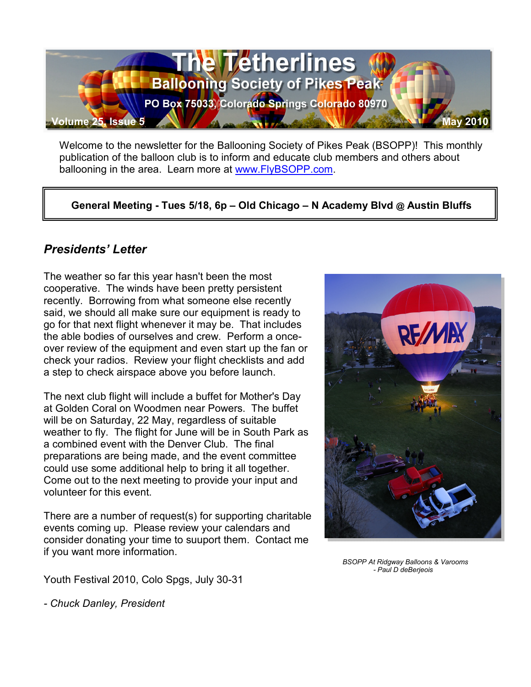

Welcome to the newsletter for the Ballooning Society of Pikes Peak (BSOPP)! This monthly publication of the balloon club is to inform and educate club members and others about ballooning in the area. Learn more at www.FlyBSOPP.com.

**General Meeting - Tues 5/18, 6p – Old Chicago – N Academy Blvd @ Austin Bluffs** 

### *Presidents' Letter*

The weather so far this year hasn't been the most cooperative. The winds have been pretty persistent recently. Borrowing from what someone else recently said, we should all make sure our equipment is ready to go for that next flight whenever it may be. That includes the able bodies of ourselves and crew. Perform a onceover review of the equipment and even start up the fan or check your radios. Review your flight checklists and add a step to check airspace above you before launch.

The next club flight will include a buffet for Mother's Day at Golden Coral on Woodmen near Powers. The buffet will be on Saturday, 22 May, regardless of suitable weather to fly. The flight for June will be in South Park as a combined event with the Denver Club. The final preparations are being made, and the event committee could use some additional help to bring it all together. Come out to the next meeting to provide your input and volunteer for this event.

There are a number of request(s) for supporting charitable events coming up. Please review your calendars and consider donating your time to suuport them. Contact me if you want more information.

**RE/MA** 

 *BSOPP At Ridgway Balloons & Varooms - Paul D deBerjeois*

Youth Festival 2010, Colo Spgs, July 30-31

*- Chuck Danley, President*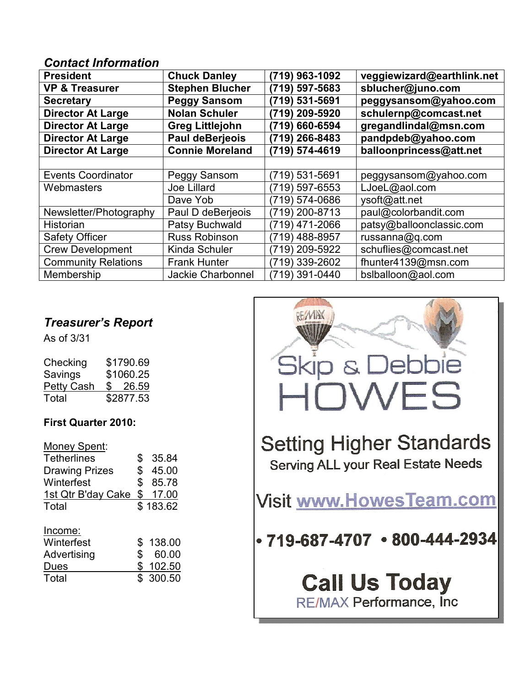#### *Contact Information*

| <b>President</b>           | <b>Chuck Danley</b>      | (719) 963-1092 | veggiewizard@earthlink.net |
|----------------------------|--------------------------|----------------|----------------------------|
| <b>VP &amp; Treasurer</b>  | <b>Stephen Blucher</b>   | (719) 597-5683 | sblucher@juno.com          |
| <b>Secretary</b>           | <b>Peggy Sansom</b>      | (719) 531-5691 | peggysansom@yahoo.com      |
| <b>Director At Large</b>   | <b>Nolan Schuler</b>     | (719) 209-5920 | schulernp@comcast.net      |
| <b>Director At Large</b>   | <b>Greg Littlejohn</b>   | (719) 660-6594 | gregandlindal@msn.com      |
| <b>Director At Large</b>   | <b>Paul deBerjeois</b>   | (719) 266-8483 | pandpdeb@yahoo.com         |
| <b>Director At Large</b>   | <b>Connie Moreland</b>   | (719) 574-4619 | balloonprincess@att.net    |
|                            |                          |                |                            |
| <b>Events Coordinator</b>  | Peggy Sansom             | (719) 531-5691 | peggysansom@yahoo.com      |
| Webmasters                 | Joe Lillard              | (719) 597-6553 | LJoeL@aol.com              |
|                            | Dave Yob                 | (719) 574-0686 | ysoft@att.net              |
| Newsletter/Photography     | Paul D deBerjeois        | (719) 200-8713 | paul@colorbandit.com       |
| Historian                  | Patsy Buchwald           | (719) 471-2066 | patsy@balloonclassic.com   |
| <b>Safety Officer</b>      | Russ Robinson            | (719) 488-8957 | russanna@q.com             |
| <b>Crew Development</b>    | <b>Kinda Schuler</b>     | (719) 209-5922 | schuflies@comcast.net      |
| <b>Community Relations</b> | <b>Frank Hunter</b>      | (719) 339-2602 | fhunter4139@msn.com        |
| Membership                 | <b>Jackie Charbonnel</b> | (719) 391-0440 | bslballoon@aol.com         |

## *Treasurer's Report*

As of 3/31

| Checking          | \$1790.69 |  |
|-------------------|-----------|--|
| Savings           | \$1060.25 |  |
| <b>Petty Cash</b> | \$26.59   |  |
| Total             | \$2877.53 |  |

#### **First Quarter 2010:**

| Money Spent:          |     |          |
|-----------------------|-----|----------|
| <b>Tetherlines</b>    | \$  | 35.84    |
| <b>Drawing Prizes</b> | \$  | 45.00    |
| Winterfest            | \$  | 85.78    |
| 1st Qtr B'day Cake    | \$  | 17.00    |
| Total                 |     | \$183.62 |
|                       |     |          |
| Income:               |     |          |
| Winterfest            | S   | 138.00   |
| Advertising           | \$  | 60.00    |
| Dues                  | \$  | 102.50   |
|                       |     |          |
| Total                 | \$. | 300.50   |

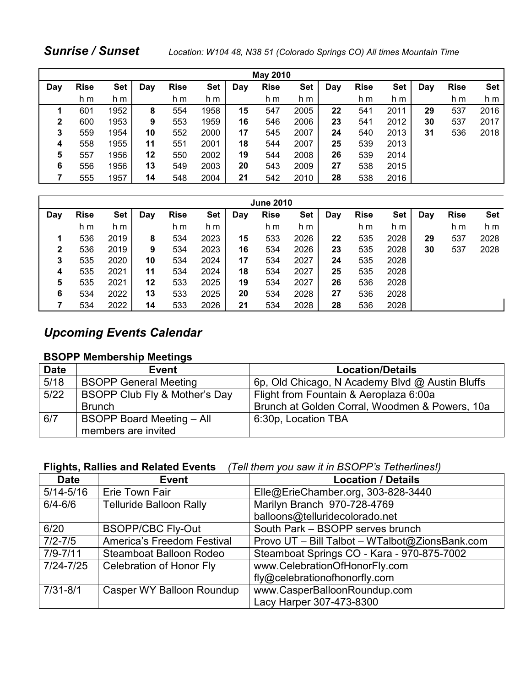| <b>May 2010</b> |             |            |     |             |      |     |             |            |     |             |      |     |             |            |
|-----------------|-------------|------------|-----|-------------|------|-----|-------------|------------|-----|-------------|------|-----|-------------|------------|
| Day             | <b>Rise</b> | <b>Set</b> | Day | <b>Rise</b> | Set  | Day | <b>Rise</b> | <b>Set</b> | Day | <b>Rise</b> | Set  | Day | <b>Rise</b> | <b>Set</b> |
|                 | h m         | h m        |     | h m         | h m  |     | h m         | h m        |     | h m         | h m  |     | h m         | h m        |
|                 | 601         | 1952       | 8   | 554         | 1958 | 15  | 547         | 2005       | 22  | 541         | 2011 | 29  | 537         | 2016       |
| $\mathbf{2}$    | 600         | 1953       | 9   | 553         | 1959 | 16  | 546         | 2006       | 23  | 541         | 2012 | 30  | 537         | 2017       |
| 3               | 559         | 1954       | 10  | 552         | 2000 | 17  | 545         | 2007       | 24  | 540         | 2013 | 31  | 536         | 2018       |
| 4               | 558         | 1955       | 11  | 551         | 2001 | 18  | 544         | 2007       | 25  | 539         | 2013 |     |             |            |
| 5               | 557         | 1956       | 12  | 550         | 2002 | 19  | 544         | 2008       | 26  | 539         | 2014 |     |             |            |
| 6               | 556         | 1956       | 13  | 549         | 2003 | 20  | 543         | 2009       | 27  | 538         | 2015 |     |             |            |
|                 | 555         | 1957       | 14  | 548         | 2004 | 21  | 542         | 2010       | 28  | 538         | 2016 |     |             |            |

| <b>June 2010</b> |             |            |     |             |      |     |             |            |     |             |            |     |             |            |
|------------------|-------------|------------|-----|-------------|------|-----|-------------|------------|-----|-------------|------------|-----|-------------|------------|
| Day              | <b>Rise</b> | <b>Set</b> | Day | <b>Rise</b> | Set  | Day | <b>Rise</b> | <b>Set</b> | Day | <b>Rise</b> | <b>Set</b> | Day | <b>Rise</b> | <b>Set</b> |
|                  | h m         | h m        |     | h m         | h m  |     | h m         | h m        |     | h m         | h m        |     | h m         | h m        |
|                  | 536         | 2019       | 8   | 534         | 2023 | 15  | 533         | 2026       | 22  | 535         | 2028       | 29  | 537         | 2028       |
| $\mathbf{2}$     | 536         | 2019       | 9   | 534         | 2023 | 16  | 534         | 2026       | 23  | 535         | 2028       | 30  | 537         | 2028       |
| 3                | 535         | 2020       | 10  | 534         | 2024 | 17  | 534         | 2027       | 24  | 535         | 2028       |     |             |            |
| 4                | 535         | 2021       | 11  | 534         | 2024 | 18  | 534         | 2027       | 25  | 535         | 2028       |     |             |            |
| 5                | 535         | 2021       | 12  | 533         | 2025 | 19  | 534         | 2027       | 26  | 536         | 2028       |     |             |            |
| 6                | 534         | 2022       | 13  | 533         | 2025 | 20  | 534         | 2028       | 27  | 536         | 2028       |     |             |            |
|                  | 534         | 2022       | 14  | 533         | 2026 | 21  | 534         | 2028       | 28  | 536         | 2028       |     |             |            |

## *Upcoming Events Calendar*

#### **BSOPP Membership Meetings**

| <b>Date</b> | Event                            | <b>Location/Details</b>                         |
|-------------|----------------------------------|-------------------------------------------------|
| 5/18        | <b>BSOPP General Meeting</b>     | 6p, Old Chicago, N Academy Blvd @ Austin Bluffs |
| $5/22$      | BSOPP Club Fly & Mother's Day    | Flight from Fountain & Aeroplaza 6:00a          |
|             | <b>Brunch</b>                    | Brunch at Golden Corral, Woodmen & Powers, 10a  |
| 6/7         | <b>BSOPP Board Meeting - All</b> | 6:30p, Location TBA                             |
|             | members are invited              |                                                 |

#### **Flights, Rallies and Related Events** *(Tell them you saw it in BSOPP's Tetherlines!)*

| <b>Date</b>   | <b>Event</b>                    | <b>Location / Details</b>                      |
|---------------|---------------------------------|------------------------------------------------|
| $5/14 - 5/16$ | Erie Town Fair                  | Elle@ErieChamber.org, 303-828-3440             |
| $6/4 - 6/6$   | <b>Telluride Balloon Rally</b>  | Marilyn Branch 970-728-4769                    |
|               |                                 | balloons@telluridecolorado.net                 |
| 6/20          | <b>BSOPP/CBC Fly-Out</b>        | South Park - BSOPP serves brunch               |
| $7/2 - 7/5$   | America's Freedom Festival      | Provo UT - Bill Talbot - WTalbot@ZionsBank.com |
| $7/9 - 7/11$  | Steamboat Balloon Rodeo         | Steamboat Springs CO - Kara - 970-875-7002     |
| $7/24 - 7/25$ | <b>Celebration of Honor Fly</b> | www.CelebrationOfHonorFly.com                  |
|               |                                 | fly@celebrationofhonorfly.com                  |
| $7/31 - 8/1$  | Casper WY Balloon Roundup       | www.CasperBalloonRoundup.com                   |
|               |                                 | Lacy Harper 307-473-8300                       |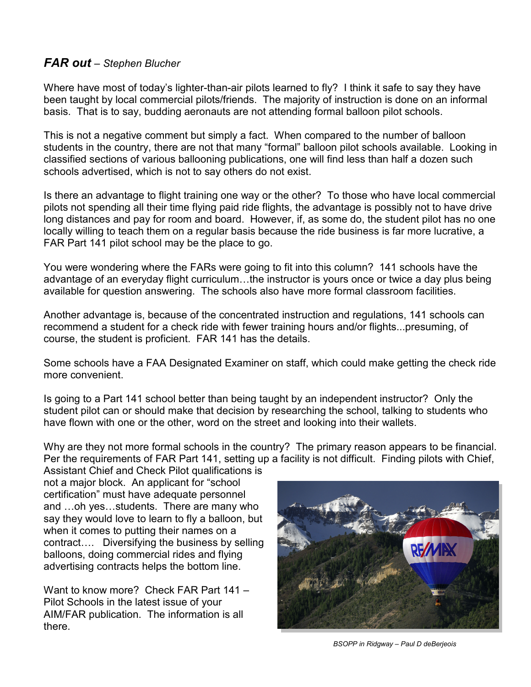#### *FAR out – Stephen Blucher*

Where have most of today's lighter-than-air pilots learned to fly? I think it safe to say they have been taught by local commercial pilots/friends. The majority of instruction is done on an informal basis. That is to say, budding aeronauts are not attending formal balloon pilot schools.

This is not a negative comment but simply a fact. When compared to the number of balloon students in the country, there are not that many "formal" balloon pilot schools available. Looking in classified sections of various ballooning publications, one will find less than half a dozen such schools advertised, which is not to say others do not exist.

Is there an advantage to flight training one way or the other? To those who have local commercial pilots not spending all their time flying paid ride flights, the advantage is possibly not to have drive long distances and pay for room and board. However, if, as some do, the student pilot has no one locally willing to teach them on a regular basis because the ride business is far more lucrative, a FAR Part 141 pilot school may be the place to go.

You were wondering where the FARs were going to fit into this column? 141 schools have the advantage of an everyday flight curriculum…the instructor is yours once or twice a day plus being available for question answering. The schools also have more formal classroom facilities.

Another advantage is, because of the concentrated instruction and regulations, 141 schools can recommend a student for a check ride with fewer training hours and/or flights...presuming, of course, the student is proficient. FAR 141 has the details.

Some schools have a FAA Designated Examiner on staff, which could make getting the check ride more convenient.

Is going to a Part 141 school better than being taught by an independent instructor? Only the student pilot can or should make that decision by researching the school, talking to students who have flown with one or the other, word on the street and looking into their wallets.

Why are they not more formal schools in the country? The primary reason appears to be financial. Per the requirements of FAR Part 141, setting up a facility is not difficult. Finding pilots with Chief,

Assistant Chief and Check Pilot qualifications is not a major block. An applicant for "school certification" must have adequate personnel and …oh yes…students. There are many who say they would love to learn to fly a balloon, but when it comes to putting their names on a contract…. Diversifying the business by selling balloons, doing commercial rides and flying advertising contracts helps the bottom line.

Want to know more? Check FAR Part 141 – Pilot Schools in the latest issue of your AIM/FAR publication. The information is all there.



*BSOPP in Ridgway – Paul D deBerjeois*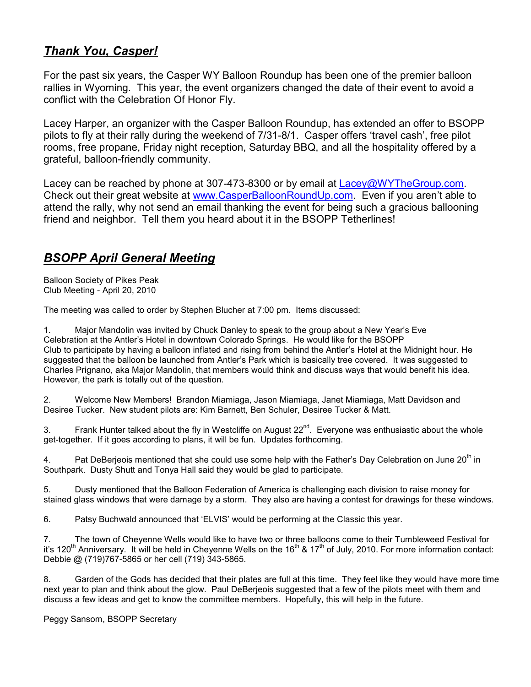#### *Thank You, Casper!*

For the past six years, the Casper WY Balloon Roundup has been one of the premier balloon rallies in Wyoming. This year, the event organizers changed the date of their event to avoid a conflict with the Celebration Of Honor Fly.

Lacey Harper, an organizer with the Casper Balloon Roundup, has extended an offer to BSOPP pilots to fly at their rally during the weekend of 7/31-8/1. Casper offers 'travel cash', free pilot rooms, free propane, Friday night reception, Saturday BBQ, and all the hospitality offered by a grateful, balloon-friendly community.

Lacey can be reached by phone at 307-473-8300 or by email at Lacey@WYTheGroup.com. Check out their great website at www.CasperBalloonRoundUp.com. Even if you aren't able to attend the rally, why not send an email thanking the event for being such a gracious ballooning friend and neighbor. Tell them you heard about it in the BSOPP Tetherlines!

#### *BSOPP April General Meeting*

Balloon Society of Pikes Peak Club Meeting - April 20, 2010

The meeting was called to order by Stephen Blucher at 7:00 pm. Items discussed:

1. Major Mandolin was invited by Chuck Danley to speak to the group about a New Year's Eve Celebration at the Antler's Hotel in downtown Colorado Springs. He would like for the BSOPP Club to participate by having a balloon inflated and rising from behind the Antler's Hotel at the Midnight hour. He suggested that the balloon be launched from Antler's Park which is basically tree covered. It was suggested to Charles Prignano, aka Major Mandolin, that members would think and discuss ways that would benefit his idea. However, the park is totally out of the question.

2. Welcome New Members! Brandon Miamiaga, Jason Miamiaga, Janet Miamiaga, Matt Davidson and Desiree Tucker. New student pilots are: Kim Barnett, Ben Schuler, Desiree Tucker & Matt.

3. Frank Hunter talked about the fly in Westcliffe on August 22<sup>nd</sup>. Everyone was enthusiastic about the whole get-together. If it goes according to plans, it will be fun. Updates forthcoming.

4. Pat DeBerjeois mentioned that she could use some help with the Father's Day Celebration on June 20<sup>th</sup> in Southpark. Dusty Shutt and Tonya Hall said they would be glad to participate.

5. Dusty mentioned that the Balloon Federation of America is challenging each division to raise money for stained glass windows that were damage by a storm. They also are having a contest for drawings for these windows.

6. Patsy Buchwald announced that 'ELVIS' would be performing at the Classic this year.

7. The town of Cheyenne Wells would like to have two or three balloons come to their Tumbleweed Festival for it's 120<sup>th</sup> Anniversary. It will be held in Cheyenne Wells on the 16<sup>th</sup> & 17<sup>th</sup> of July, 2010. For more information contact: Debbie @ (719)767-5865 or her cell (719) 343-5865.

8. Garden of the Gods has decided that their plates are full at this time. They feel like they would have more time next year to plan and think about the glow. Paul DeBerjeois suggested that a few of the pilots meet with them and discuss a few ideas and get to know the committee members. Hopefully, this will help in the future.

Peggy Sansom, BSOPP Secretary